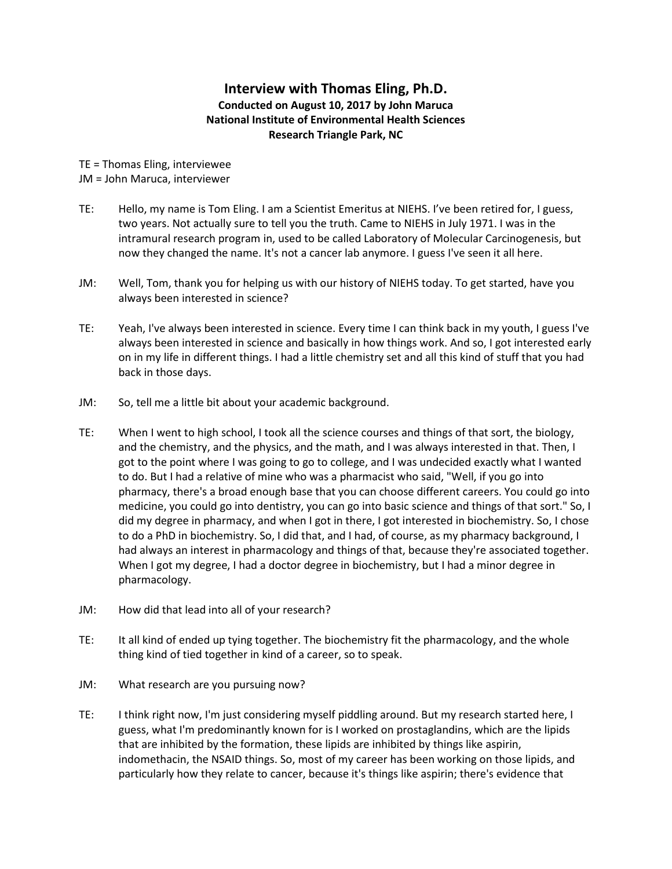## **Interview with Thomas Eling, Ph.D. Conducted on August 10, 2017 by John Maruca National Institute of Environmental Health Sciences Research Triangle Park, NC**

TE = Thomas Eling, interviewee JM = John Maruca, interviewer

- TE: Hello, my name is Tom Eling. I am a Scientist Emeritus at NIEHS. I've been retired for, I guess, two years. Not actually sure to tell you the truth. Came to NIEHS in July 1971. I was in the intramural research program in, used to be called Laboratory of Molecular Carcinogenesis, but now they changed the name. It's not a cancer lab anymore. I guess I've seen it all here.
- JM: Well, Tom, thank you for helping us with our history of NIEHS today. To get started, have you always been interested in science?
- TE: Yeah, I've always been interested in science. Every time I can think back in my youth, I guess I've always been interested in science and basically in how things work. And so, I got interested early on in my life in different things. I had a little chemistry set and all this kind of stuff that you had back in those days.
- JM: So, tell me a little bit about your academic background.
- TE: When I went to high school, I took all the science courses and things of that sort, the biology, and the chemistry, and the physics, and the math, and I was always interested in that. Then, I got to the point where I was going to go to college, and I was undecided exactly what I wanted to do. But I had a relative of mine who was a pharmacist who said, "Well, if you go into pharmacy, there's a broad enough base that you can choose different careers. You could go into medicine, you could go into dentistry, you can go into basic science and things of that sort." So, I did my degree in pharmacy, and when I got in there, I got interested in biochemistry. So, I chose to do a PhD in biochemistry. So, I did that, and I had, of course, as my pharmacy background, I had always an interest in pharmacology and things of that, because they're associated together. When I got my degree, I had a doctor degree in biochemistry, but I had a minor degree in pharmacology.
- JM: How did that lead into all of your research?
- TE: It all kind of ended up tying together. The biochemistry fit the pharmacology, and the whole thing kind of tied together in kind of a career, so to speak.
- JM: What research are you pursuing now?
- TE: I think right now, I'm just considering myself piddling around. But my research started here, I guess, what I'm predominantly known for is I worked on prostaglandins, which are the lipids that are inhibited by the formation, these lipids are inhibited by things like aspirin, indomethacin, the NSAID things. So, most of my career has been working on those lipids, and particularly how they relate to cancer, because it's things like aspirin; there's evidence that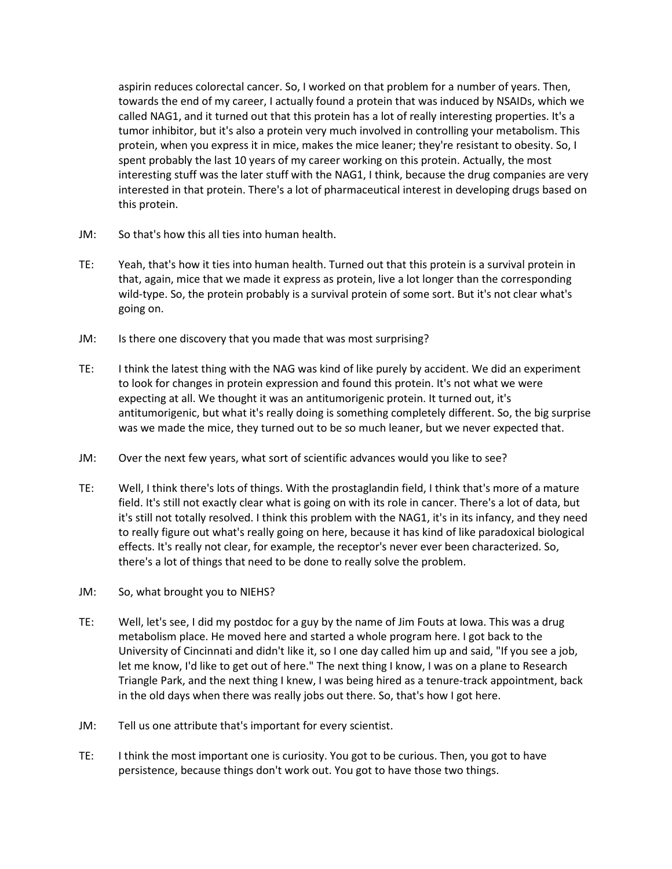aspirin reduces colorectal cancer. So, I worked on that problem for a number of years. Then, towards the end of my career, I actually found a protein that was induced by NSAIDs, which we called NAG1, and it turned out that this protein has a lot of really interesting properties. It's a tumor inhibitor, but it's also a protein very much involved in controlling your metabolism. This protein, when you express it in mice, makes the mice leaner; they're resistant to obesity. So, I spent probably the last 10 years of my career working on this protein. Actually, the most interesting stuff was the later stuff with the NAG1, I think, because the drug companies are very interested in that protein. There's a lot of pharmaceutical interest in developing drugs based on this protein.

- JM: So that's how this all ties into human health.
- TE: Yeah, that's how it ties into human health. Turned out that this protein is a survival protein in that, again, mice that we made it express as protein, live a lot longer than the corresponding wild-type. So, the protein probably is a survival protein of some sort. But it's not clear what's going on.
- JM: Is there one discovery that you made that was most surprising?
- TE: I think the latest thing with the NAG was kind of like purely by accident. We did an experiment to look for changes in protein expression and found this protein. It's not what we were expecting at all. We thought it was an antitumorigenic protein. It turned out, it's antitumorigenic, but what it's really doing is something completely different. So, the big surprise was we made the mice, they turned out to be so much leaner, but we never expected that.
- JM: Over the next few years, what sort of scientific advances would you like to see?
- TE: Well, I think there's lots of things. With the prostaglandin field, I think that's more of a mature field. It's still not exactly clear what is going on with its role in cancer. There's a lot of data, but it's still not totally resolved. I think this problem with the NAG1, it's in its infancy, and they need to really figure out what's really going on here, because it has kind of like paradoxical biological effects. It's really not clear, for example, the receptor's never ever been characterized. So, there's a lot of things that need to be done to really solve the problem.
- JM: So, what brought you to NIEHS?
- TE: Well, let's see, I did my postdoc for a guy by the name of Jim Fouts at Iowa. This was a drug metabolism place. He moved here and started a whole program here. I got back to the University of Cincinnati and didn't like it, so I one day called him up and said, "If you see a job, let me know, I'd like to get out of here." The next thing I know, I was on a plane to Research Triangle Park, and the next thing I knew, I was being hired as a tenure-track appointment, back in the old days when there was really jobs out there. So, that's how I got here.
- JM: Tell us one attribute that's important for every scientist.
- TE: I think the most important one is curiosity. You got to be curious. Then, you got to have persistence, because things don't work out. You got to have those two things.